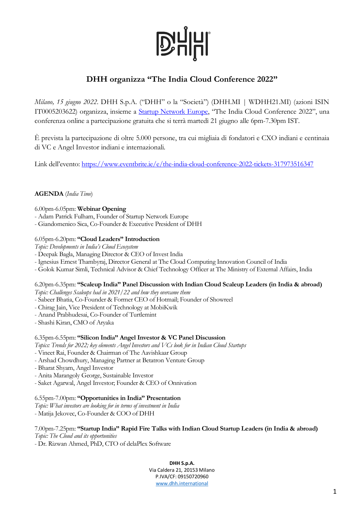

# **DHH organizza "The India Cloud Conference 2022"**

*Milano, 15 giugno 2022*. DHH S.p.A. ("DHH" o la "Società") (DHH.MI | WDHH21.MI) (azioni ISIN IT0005203622) organizza, insieme a [Startup Network Europe,](https://startupnetwork.eu/) "The India Cloud Conference 2022", una conferenza online a partecipazione gratuita che si terrà martedì 21 giugno alle 6pm-7.30pm IST.

È prevista la partecipazione di oltre 5.000 persone, tra cui migliaia di fondatori e CXO indiani e centinaia di VC e Angel Investor indiani e internazionali.

Link dell'evento: <https://www.eventbrite.ie/e/the-india-cloud-conference-2022-tickets-317973516347>

### **AGENDA** (*India Time*)

6.00pm-6.05pm: **Webinar Opening**

- Adam Patrick Fulham, Founder of Startup Network Europe
- Giandomenico Sica, Co-Founder & Executive President of DHH

#### 6.05pm-6.20pm: **"Cloud Leaders" Introduction**

- *Topic: Developments in India's Cloud Ecosystem*
- Deepak Bagla, Managing Director & CEO of Invest India
- Ignesius Ernest Thambyraj, Director General at The Cloud Computing Innovation Council of India
- Golok Kumar Simli, Technical Advisor & Chief Technology Officer at The Ministry of External Affairs, India

## 6.20pm-6.35pm: **"Scaleup India" Panel Discussion with Indian Cloud Scaleup Leaders (in India & abroad)**

*Topic: Challenges Scaleups had in 2021/22 and how they overcame them*

- Sabeer Bhatia, Co-Founder & Former CEO of Hotmail; Founder of Showreel
- Chirag Jain, Vice President of Technology at MobiKwik
- Anand Prabhudesai, Co-Founder of Turtlemint
- Shashi Kiran, CMO of Aryaka

#### 6.35pm-6.55pm: **"Silicon India" Angel Investor & VC Panel Discussion**

*Topics: Trends for 2022; key elements Angel Investors and VCs look for in Indian Cloud Startups*

- Vineet Rai, Founder & Chairman of The Aavishkaar Group
- Arshad Chowdhury, Managing Partner at Betatron Venture Group
- Bharat Shyam, Angel Investor
- Anita Marangoly George, Sustainable Investor
- Saket Agarwal, Angel Investor; Founder & CEO of Onnivation

#### 6.55pm-7.00pm: **"Opportunities in India" Presentation**

- *Topic: What investors are looking for in terms of investment in India*
- Matija Jekovec, Co-Founder & COO of DHH

#### 7.00pm-7.25pm: **"Startup India" Rapid Fire Talks with Indian Cloud Startup Leaders (in India & abroad)** *Topic: The Cloud and its opportunities*

- Dr. Rizwan Ahmed, PhD, CTO of delaPlex Software

**DHH S.p.A.** Via Caldera 21, 20153 Milano P.IVA/CF: 09150720960 [www.dhh.international](http://www.dominion.it/)